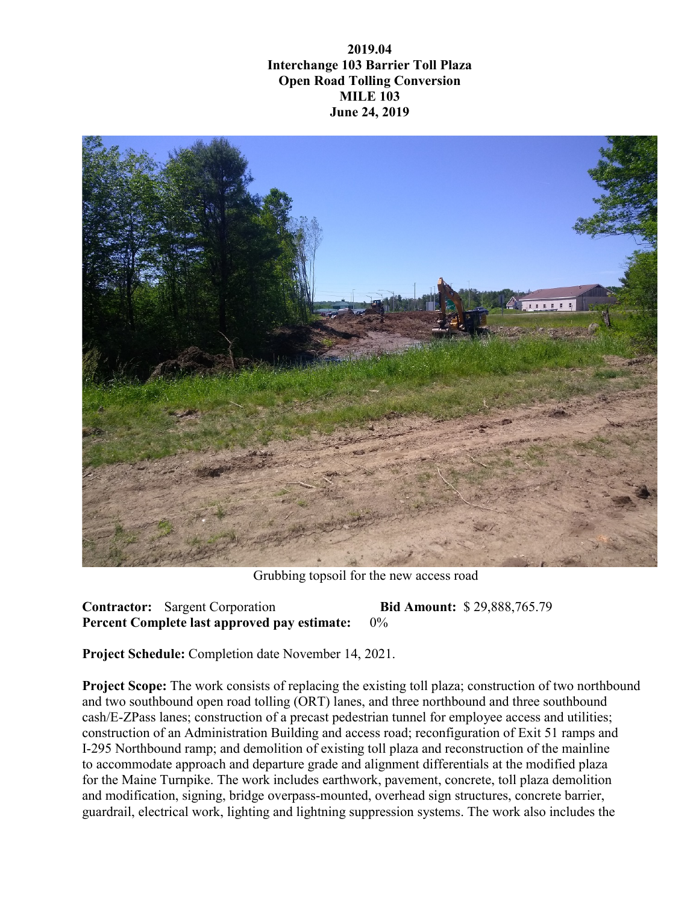**2019.04 Interchange 103 Barrier Toll Plaza Open Road Tolling Conversion MILE 103 June 24, 2019**



Grubbing topsoil for the new access road

**Contractor:** Sargent Corporation **Bid Amount:** \$ 29,888,765.79 **Percent Complete last approved pay estimate:** 0%

**Project Schedule:** Completion date November 14, 2021.

**Project Scope:** The work consists of replacing the existing toll plaza; construction of two northbound and two southbound open road tolling (ORT) lanes, and three northbound and three southbound cash/E-ZPass lanes; construction of a precast pedestrian tunnel for employee access and utilities; construction of an Administration Building and access road; reconfiguration of Exit 51 ramps and I-295 Northbound ramp; and demolition of existing toll plaza and reconstruction of the mainline to accommodate approach and departure grade and alignment differentials at the modified plaza for the Maine Turnpike. The work includes earthwork, pavement, concrete, toll plaza demolition and modification, signing, bridge overpass-mounted, overhead sign structures, concrete barrier, guardrail, electrical work, lighting and lightning suppression systems. The work also includes the